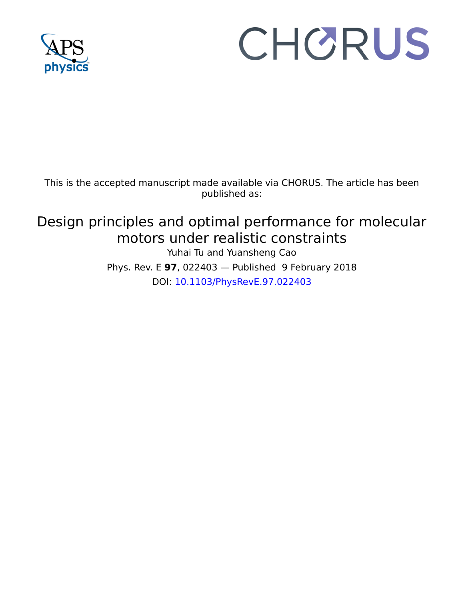

# CHORUS

This is the accepted manuscript made available via CHORUS. The article has been published as:

## Design principles and optimal performance for molecular motors under realistic constraints Yuhai Tu and Yuansheng Cao Phys. Rev. E **97**, 022403 — Published 9 February 2018 DOI: [10.1103/PhysRevE.97.022403](http://dx.doi.org/10.1103/PhysRevE.97.022403)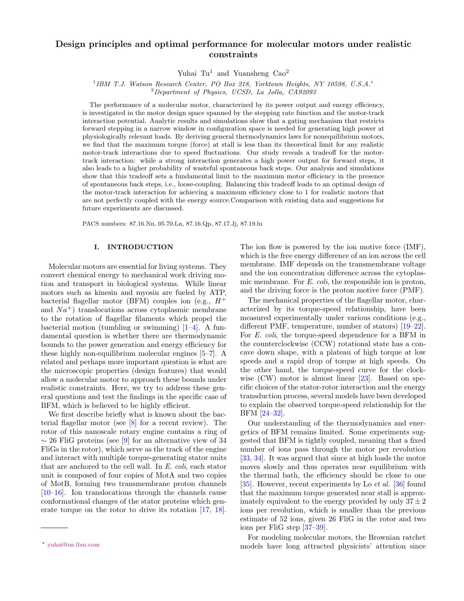### Design principles and optimal performance for molecular motors under realistic constraints

Yuhai Tu<sup>1</sup> and Yuansheng  $Cao^2$ 

<sup>1</sup>IBM T.J. Watson Research Center, PO Box 218, Yorktown Heights, NY 10598, U.S.A.<sup>\*</sup> <sup>2</sup>Department of Physics, UCSD, La Jolla, CA92093

The performance of a molecular motor, characterized by its power output and energy efficiency, is investigated in the motor design space spanned by the stepping rate function and the motor-track interaction potential. Analytic results and simulations show that a gating mechanism that restricts forward stepping in a narrow window in configuration space is needed for generating high power at physiologically relevant loads. By deriving general thermodynamics laws for nonequilibrium motors, we find that the maximum torque (force) at stall is less than its theoretical limit for any realistic motor-track interactions due to speed fluctuations. Our study reveals a tradeoff for the motortrack interaction: while a strong interaction generates a high power output for forward steps, it also leads to a higher probability of wasteful spontaneous back steps. Our analysis and simulations show that this tradeoff sets a fundamental limit to the maximum motor efficiency in the presence of spontaneous back steps, i.e., loose-coupling. Balancing this tradeoff leads to an optimal design of the motor-track interaction for achieving a maximum efficiency close to 1 for realistic motors that are not perfectly coupled with the energy source.Comparison with existing data and suggestions for future experiments are discussed.

PACS numbers: 87.16.Nn, 05.70.Ln, 87.16.Qp, 87.17.Jj, 87.19.lu

#### I. INTRODUCTION

Molecular motors are essential for living systems. They convert chemical energy to mechanical work driving motion and transport in biological systems. While linear motors such as kinesin and myosin are fueled by ATP, bacterial flagellar motor (BFM) couples ion (e.g.,  $H^+$ and  $Na^{+}$ ) translocations across cytoplasmic membrane to the rotation of flagellar filaments which propel the bacterial motion (tumbling or swimming)  $[1-4]$  $[1-4]$ . A fundamental question is whether there are thermodynamic bounds to the power generation and energy efficiency for these highly non-equilibrium molecular engines [\[5–](#page-13-2)[7\]](#page-13-3). A related and perhaps more important question is what are the microscopic properties (design features) that would allow a molecular motor to approach these bounds under realistic constraints. Here, we try to address these general questions and test the findings in the specific case of BFM, which is believed to be highly efficient.

We first describe briefly what is known about the bacterial flagellar motor (see [\[8\]](#page-13-4) for a recent review). The rotor of this nanoscale rotary engine contains a ring of  $\sim$  26 FliG proteins (see [\[9\]](#page-13-5) for an alternative view of 34 FliGs in the rotor), which serve as the track of the engine and interact with multiple torque-generating stator units that are anchored to the cell wall. In E. coli, each stator unit is composed of four copies of MotA and two copies of MotB, forming two transmembrane proton channels [\[10–](#page-13-6)[16\]](#page-13-7). Ion translocations through the channels cause conformational changes of the stator proteins which generate torque on the rotor to drive its rotation [\[17,](#page-13-8) [18\]](#page-13-9).

The ion flow is powered by the ion motive force (IMF), which is the free energy difference of an ion across the cell membrane. IMF depends on the transmembrane voltage and the ion concentration difference across the cytoplasmic membrane. For E. coli, the responsible ion is proton, and the driving force is the proton motive force (PMF).

The mechanical properties of the flagellar motor, characterized by its torque-speed relationship, have been measured experimentally under various conditions (e.g., different PMF, temperature, number of stators) [\[19–](#page-13-10)[22\]](#page-13-11). For E. coli, the torque-speed dependence for a BFM in the counterclockwise (CCW) rotational state has a concave down shape, with a plateau of high torque at low speeds and a rapid drop of torque at high speeds. On the other hand, the torque-speed curve for the clock-wise (CW) motor is almost linear [\[23\]](#page-13-12). Based on specific choices of the stator-rotor interaction and the energy transduction process, several models have been developed to explain the observed torque-speed relationship for the BFM [\[24–](#page-13-13)[32\]](#page-13-14).

Our understanding of the thermodynamics and energetics of BFM remains limited. Some experiments suggested that BFM is tightly coupled, meaning that a fixed number of ions pass through the motor per revolution [\[33,](#page-13-15) [34\]](#page-13-16). It was argued that since at high loads the motor moves slowly and thus operates near equilibrium with the thermal bath, the efficiency should be close to one [\[35\]](#page-14-0). However, recent experiments by Lo et al. [\[36\]](#page-14-1) found that the maximum torque generated near stall is approximately equivalent to the energy provided by only  $37 \pm 2$ ions per revolution, which is smaller than the previous estimate of 52 ions, given 26 FliG in the rotor and two ions per FliG step [\[37–](#page-14-2)[39\]](#page-14-3).

For modeling molecular motors, the Brownian ratchet models have long attracted physicists' attention since

<span id="page-1-0"></span><sup>∗</sup> [yuhai@us.ibm.com](mailto:yuhai@us.ibm.com)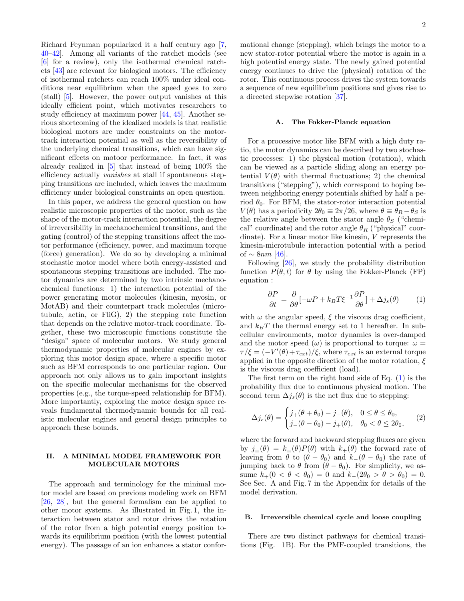Richard Feynman popularized it a half century ago [\[7,](#page-13-3) [40–](#page-14-4)[42\]](#page-14-5). Among all variants of the ratchet models (see [\[6\]](#page-13-17) for a review), only the isothermal chemical ratchets [\[43\]](#page-14-6) are relevant for biological motors. The efficiency of isothermal ratchets can reach 100% under ideal conditions near equilibrium when the speed goes to zero (stall) [\[5\]](#page-13-2). However, the power output vanishes at this ideally efficient point, which motivates researchers to study efficiency at maximum power [\[44,](#page-14-7) [45\]](#page-14-8). Another serious shortcoming of the idealized models is that realistic biological motors are under constraints on the motortrack interaction potential as well as the reversibility of the underlying chemical transitions, which can have significant effects on motoor performance. In fact, it was already realized in [\[5\]](#page-13-2) that instead of being 100% the efficiency actually vanishes at stall if spontaneous stepping transitions are included, which leaves the maximum efficiency under biological constraints an open question.

In this paper, we address the general question on how realistic microscopic properties of the motor, such as the shape of the motor-track interaction potential, the degree of irreversibility in mechanochemical transitions, and the gating (control) of the stepping transitions affect the motor performance (efficiency, power, and maximum torque (force) generation). We do so by developing a minimal stochastic motor model where both energy-assisted and spontaneous stepping transitions are included. The motor dynamics are determined by two intrinsic mechanochemical functions: 1) the interaction potential of the power generating motor molecules (kinesin, myosin, or MotAB) and their counterpart track molecules (microtubule, actin, or FliG), 2) the stepping rate function that depends on the relative motor-track coordinate. Together, these two microscopic functions constitute the "design" space of molecular motors. We study general thermodynamic properties of molecular engines by exploring this motor design space, where a specific motor such as BFM corresponds to one particular region. Our approach not only allows us to gain important insights on the specific molecular mechanisms for the observed properties (e.g., the torque-speed relationship for BFM). More importantly, exploring the motor design space reveals fundamental thermodynamic bounds for all realistic molecular engines and general design principles to approach these bounds.

#### II. A MINIMAL MODEL FRAMEWORK FOR MOLECULAR MOTORS

The approach and terminology for the minimal motor model are based on previous modeling work on BFM [\[26,](#page-13-18) [28\]](#page-13-19), but the general formalism can be applied to other motor systems. As illustrated in Fig. 1, the interaction between stator and rotor drives the rotation of the rotor from a high potential energy position towards its equilibrium position (with the lowest potential energy). The passage of an ion enhances a stator conformational change (stepping), which brings the motor to a new stator-rotor potential where the motor is again in a high potential energy state. The newly gained potential energy continues to drive the (physical) rotation of the rotor. This continuous process drives the system towards a sequence of new equilibrium positions and gives rise to a directed stepwise rotation [\[37\]](#page-14-2).

#### A. The Fokker-Planck equation

For a processive motor like BFM with a high duty ratio, the motor dynamics can be described by two stochastic processes: 1) the physical motion (rotation), which can be viewed as a particle sliding along an energy potential  $V(\theta)$  with thermal fluctuations; 2) the chemical transitions ("stepping"), which correspond to hoping between neighboring energy potentials shifted by half a period  $\theta_0$ . For BFM, the stator-rotor interaction potential  $V(\theta)$  has a periodicity  $2\theta_0 \equiv 2\pi/26$ , where  $\theta \equiv \theta_R - \theta_S$  is the relative angle between the stator angle  $\theta_S$  ("chemical" coordinate) and the rotor angle  $\theta_R$  ("physical" coordinate). For a linear motor like kinesin, V represents the kinesin-microtubule interaction potential with a period of  $\sim 8nm$  [\[46\]](#page-14-9).

Following [\[26\]](#page-13-18), we study the probability distribution function  $P(\theta, t)$  for  $\theta$  by using the Fokker-Planck (FP) equation :

<span id="page-2-0"></span>
$$
\frac{\partial P}{\partial t} = \frac{\partial}{\partial \theta} \left[ -\omega P + k_B T \xi^{-1} \frac{\partial P}{\partial \theta} \right] + \Delta j_s(\theta) \tag{1}
$$

with  $\omega$  the angular speed,  $\xi$  the viscous drag coefficient, and  $k_BT$  the thermal energy set to 1 hereafter. In subcellular environments, motor dynamics is over-damped and the motor speed  $(\omega)$  is proportional to torque:  $\omega =$  $\tau/\xi = (-V'(\theta) + \tau_{ext})/\xi$ , where  $\tau_{ext}$  is an external torque applied in the opposite direction of the motor rotation,  $\xi$ is the viscous drag coefficient (load).

The first term on the right hand side of Eq. [\(1\)](#page-2-0) is the probability flux due to continuous physical motion. The second term  $\Delta j_s(\theta)$  is the net flux due to stepping:

$$
\Delta j_s(\theta) = \begin{cases} j_+(\theta + \theta_0) - j_-(\theta), & 0 \le \theta \le \theta_0, \\ j_-(\theta - \theta_0) - j_+(\theta), & \theta_0 < \theta \le 2\theta_0, \end{cases}
$$
 (2)

where the forward and backward stepping fluxes are given by  $j_{+}(\theta) = k_{+}(\theta)P(\theta)$  with  $k_{+}(\theta)$  the forward rate of leaving from  $\theta$  to  $(\theta - \theta_0)$  and  $k_-(\theta - \theta_0)$  the rate of jumping back to  $\theta$  from  $(\theta - \theta_0)$ . For simplicity, we assume  $k_{+}(0 < \theta < \theta_0) = 0$  and  $k_{-}(2\theta_0 > \theta > \theta_0) = 0$ . See Sec. A and Fig. 7 in the Appendix for details of the model derivation.

#### B. Irreversible chemical cycle and loose coupling

There are two distinct pathways for chemical transitions (Fig. 1B). For the PMF-coupled transitions, the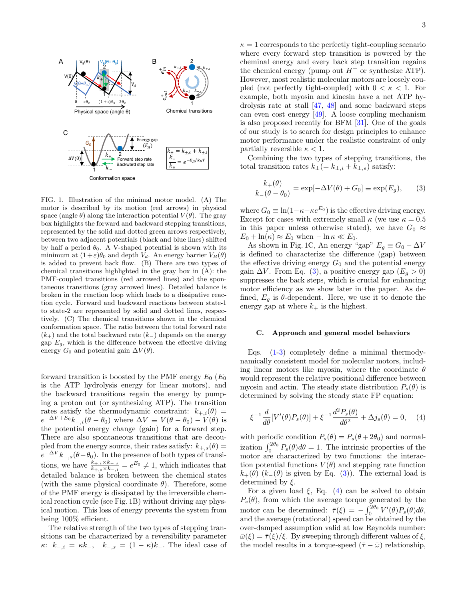

FIG. 1. Illustration of the minimal motor model. (A) The motor is described by its motion (red arrows) in physical space (angle  $\theta$ ) along the interaction potential  $V(\theta)$ . The gray box highlights the forward and backward stepping transitions, represented by the solid and dotted green arrows respectively, between two adjacent potentials (black and blue lines) shifted by half a period  $\theta_0$ . A V-shaped potential is shown with its minimum at  $(1+\varepsilon)\theta_0$  and depth  $V_d$ . An energy barrier  $V_B(\theta)$ is added to prevent back flow. (B) There are two types of chemical transitions highlighted in the gray box in (A): the PMF-coupled transitions (red arrowed lines) and the spontaneous transitions (gray arrowed lines). Detailed balance is broken in the reaction loop which leads to a dissipative reaction cycle. Forward and backward reactions between state-1 to state-2 are represented by solid and dotted lines, respectively. (C) The chemical transitions shown in the chemical conformation space. The ratio between the total forward rate  $(k_{+})$  and the total backward rate  $(k_{-})$  depends on the energy gap  $E_q$ , which is the difference between the effective driving energy  $G_0$  and potential gain  $\Delta V(\theta)$ .

forward transition is boosted by the PMF energy  $E_0$  ( $E_0$ ) is the ATP hydrolysis energy for linear motors), and the backward transitions regain the energy by pumping a proton out (or synthesizing ATP). The transition rates satisfy the thermodynamic constraint:  $k_{+,i}(\theta) =$  $e^{-\Delta V + E_0} k_{-,i} (\theta - \theta_0)$  where  $\Delta V \equiv V(\theta - \theta_0) - V(\theta)$  is the potential energy change (gain) for a forward step. There are also spontaneous transitions that are decoupled from the energy source, their rates satisfy:  $k_{+,s}(\theta) =$  $e^{-\Delta V}k_{-,s}(\theta-\theta_0)$ . In the presence of both types of transitions, we have  $\frac{k_{+,i} \times k_{-,s}}{k_{+,s} \times k_{-,i}} = e^{E_0} \neq 1$ , which indicates that detailed balance is broken between the chemical states (with the same physical coordinate  $\theta$ ). Therefore, some of the PMF energy is dissipated by the irreversible chemical reaction cycle (see Fig. 1B) without driving any physical motion. This loss of energy prevents the system from being 100% efficient.

The relative strength of the two types of stepping transitions can be characterized by a reversibility parameter  $\kappa$ :  $k_{-,i} = \kappa k_{-,i}$ ,  $k_{-,s} = (1 - \kappa)k_{-}$ . The ideal case of

 $\kappa = 1$  corresponds to the perfectly tight-coupling scenario where every forward step transition is powered by the cheminal energy and every back step transition regains the chemical energy (pump out  $H^+$  or synthesize ATP). However, most realistic molecular motors are loosely coupled (not perfectly tight-coupled) with  $0 < \kappa < 1$ . For example, both myosin and kinesin have a net ATP hydrolysis rate at stall [\[47,](#page-14-10) [48\]](#page-14-11) and some backward steps can even cost energy [\[49\]](#page-14-12). A loose coupling mechanism is also proposed recently for BFM [\[31\]](#page-13-20). One of the goals of our study is to search for design principles to enhance motor performance under the realistic constraint of only partially reversible  $\kappa < 1$ .

Combining the two types of stepping transitions, the total transition rates  $k_{\pm} (= k_{\pm,i} + k_{\pm,s})$  satisfy:

<span id="page-3-0"></span>
$$
\frac{k_+(\theta)}{k_-(\theta - \theta_0)} = \exp[-\Delta V(\theta) + G_0] \equiv \exp(E_g), \qquad (3)
$$

where  $G_0 \equiv \ln(1 - \kappa + \kappa e^{E_0})$  is the effective driving energy. Except for cases with extremely small  $\kappa$  (we use  $\kappa = 0.5$ ) in this paper unless otherwise stated), we have  $G_0 \approx$  $E_0 + \ln(\kappa) \approx E_0$  when  $-\ln \kappa \ll E_0$ .

As shown in Fig. 1C, An energy "gap"  $E_g \equiv G_0 - \Delta V$ is defined to characterize the difference (gap) between the effective driving energy  $G_0$  and the potential energy gain  $\Delta V$ . From Eq. [\(3\)](#page-3-0), a positive energy gap  $(E_q > 0)$ suppresses the back steps, which is crucial for enhancing motor efficiency as we show later in the paper. As defined,  $E_q$  is  $\theta$ -dependent. Here, we use it to denote the energy gap at where  $k_{+}$  is the highest.

#### C. Approach and general model behaviors

Eqs. [\(1](#page-2-0)[-3\)](#page-3-0) completely define a minimal thermodynamically consistent model for molecular motors, including linear motors like myosin, where the coordinate  $\theta$ would represent the relative positional difference between myosin and actin. The steady state distribution  $P_s(\theta)$  is determined by solving the steady state FP equation:

<span id="page-3-1"></span>
$$
\xi^{-1} \frac{d}{d\theta} [V'(\theta) P_s(\theta)] + \xi^{-1} \frac{d^2 P_s(\theta)}{d\theta^2} + \Delta j_s(\theta) = 0, \quad (4)
$$

with periodic condition  $P_s(\theta) = P_s(\theta + 2\theta_0)$  and normalization  $\int_0^{2\theta_0} P_s(\theta) d\theta = 1$ . The intrinsic properties of the motor are characterized by two functions: the interaction potential functions  $V(\theta)$  and stepping rate function  $k_{+}(\theta)$  ( $k_{-}(\theta)$  is given by Eq. [\(3\)](#page-3-0)). The external load is determined by  $\xi$ .

For a given load  $\xi$ , Eq. [\(4\)](#page-3-1) can be solved to obtain  $P_s(\theta)$ , from which the average torque generated by the motor can be determined:  $\bar{\tau}(\xi) = -\int_0^{2\theta_0} V'(\theta) P_s(\theta) d\theta$ , and the average (rotational) speed can be obtained by the over-damped assumption valid at low Reynolds number:  $\bar{\omega}(\xi) = \bar{\tau}(\xi)/\xi$ . By sweeping through different values of  $\xi$ , the model results in a torque-speed  $(\bar{\tau} - \bar{\omega})$  relationship,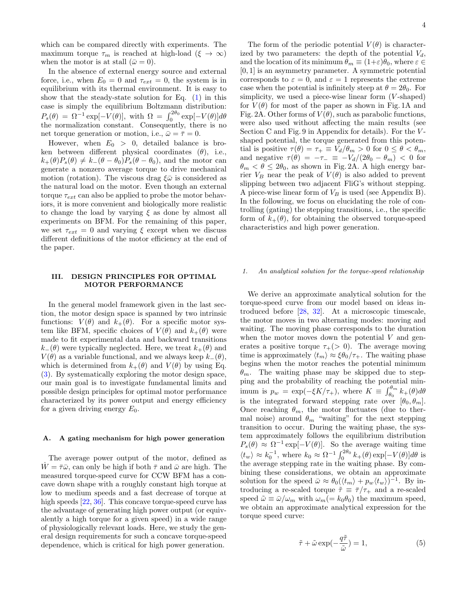which can be compared directly with experiments. The maximum torque  $\tau_m$  is reached at high-load  $(\xi \to \infty)$ when the motor is at stall  $(\bar{\omega} = 0)$ .

In the absence of external energy source and external force, i.e., when  $E_0 = 0$  and  $\tau_{ext} = 0$ , the system is in equilibrium with its thermal environment. It is easy to show that the steady-state solution for Eq.  $(1)$  in this case is simply the equilibrium Boltzmann distribution:  $P_s(\theta) = \Omega^{-1} \exp[-V(\theta)], \text{ with } \Omega = \int_0^{2\theta_0} \exp[-V(\theta)] d\theta$ the normalization constant. Consequently, there is no net torque generation or motion, i.e.,  $\bar{\omega} = \bar{\tau} = 0$ .

However, when  $E_0 > 0$ , detailed balance is broken between different physical coordinates  $(\theta)$ , i.e.,  $k_{+}(\theta)P_{s}(\theta) \neq k_{-}(\theta - \theta_{0})P_{s}(\theta - \theta_{0}),$  and the motor can generate a nonzero average torque to drive mechanical motion (rotation). The viscous drag  $\xi \bar{\omega}$  is considered as the natural load on the motor. Even though an external torque  $\tau_{ext}$  can also be applied to probe the motor behaviors, it is more convenient and biologically more realistic to change the load by varying  $\xi$  as done by almost all experiments on BFM. For the remaining of this paper, we set  $\tau_{ext} = 0$  and varying  $\xi$  except when we discuss different definitions of the motor efficiency at the end of the paper.

#### III. DESIGN PRINCIPLES FOR OPTIMAL MOTOR PERFORMANCE

In the general model framework given in the last section, the motor design space is spanned by two intrinsic functions:  $V(\theta)$  and  $k_+(\theta)$ . For a specific motor system like BFM, specific choices of  $V(\theta)$  and  $k_{+}(\theta)$  were made to fit experimental data and backward transitions  $k_-(\theta)$  were typically neglected. Here, we treat  $k_+(\theta)$  and  $V(\theta)$  as a variable functional, and we always keep  $k_-(\theta)$ , which is determined from  $k_{+}(\theta)$  and  $V(\theta)$  by using Eq. [\(3\)](#page-3-0). By systematically exploring the motor design space, our main goal is to investigate fundamental limits and possible design principles for optimal motor performance characterized by its power output and energy efficiency for a given driving energy  $E_0$ .

#### A. A gating mechanism for high power generation

The average power output of the motor, defined as  $W = \bar{\tau}\bar{\omega}$ , can only be high if both  $\bar{\tau}$  and  $\bar{\omega}$  are high. The measured torque-speed curve for CCW BFM has a concave down shape with a roughly constant high torque at low to medium speeds and a fast decrease of torque at high speeds [\[22,](#page-13-11) [36\]](#page-14-1). This concave torque-speed curve has the advantage of generating high power output (or equivalently a high torque for a given speed) in a wide range of physiologically relevant loads. Here, we study the general design requirements for such a concave torque-speed dependence, which is critical for high power generation.

The form of the periodic potential  $V(\theta)$  is characterized by two parameters: the depth of the potential  $V_d$ , and the location of its minimum  $\theta_m \equiv (1+\varepsilon)\theta_0$ , where  $\varepsilon \in$ [0, 1] is an asymmetry parameter. A symmetric potential corresponds to  $\varepsilon = 0$ , and  $\varepsilon = 1$  represents the extreme case when the potential is infinitely steep at  $\theta = 2\theta_0$ . For simplicity, we used a piece-wise linear form  $(V\text{-shaped})$ for  $V(\theta)$  for most of the paper as shown in Fig. 1A and Fig. 2A. Other forms of  $V(\theta)$ , such as parabolic functions, were also used without affecting the main results (see Section C and Fig. 9 in Appendix for details). For the Vshaped potential, the torque generated from this potential is positive  $\tau(\theta) = \tau_+ \equiv V_d/\theta_m > 0$  for  $0 \leq \theta < \theta_m$ , and negative  $\tau(\theta) = -\tau_- \equiv -V_d/(2\theta_0 - \theta_m) < 0$  for  $\theta_m < \theta \leq 2\theta_0$ , as shown in Fig. 2A. A high energy barrier  $V_B$  near the peak of  $V(\theta)$  is also added to prevent slipping between two adjacent FliG's without stepping. A piece-wise linear form of  $V_B$  is used (see Appendix B). In the following, we focus on elucidating the role of controlling (gating) the stepping transitions, i.e., the specific form of  $k_{+}(\theta)$ , for obtaining the observed torque-speed characteristics and high power generation.

#### 1. An analytical solution for the torque-speed relationship

We derive an approximate analytical solution for the torque-speed curve from our model based on ideas introduced before [\[28,](#page-13-19) [32\]](#page-13-14). At a microscopic timescale, the motor moves in two alternating modes: moving and waiting. The moving phase corresponds to the duration when the motor moves down the potential  $V$  and generates a positive torque  $\tau_{+}(> 0)$ . The average moving time is approximately  $\langle t_m \rangle \approx \xi \theta_0 / \tau_+$ . The waiting phase begins when the motor reaches the potential minimum  $\theta_m$ . The waiting phase may be skipped due to stepping and the probability of reaching the potential minimum is  $p_w = \exp(-\xi K/\tau_+),$  where  $K \equiv \int_{\theta_0}^{\theta_m} k_+(\theta) d\theta$ is the integrated forward stepping rate over  $[\theta_0, \theta_m]$ . Once reaching  $\theta_m$ , the motor fluctuates (due to thermal noise) around  $\theta_m$  "waiting" for the next stepping transition to occur. During the waiting phase, the system approximately follows the equilibrium distribution  $P_s(\theta) \approx \Omega^{-1} \exp[-V(\theta)].$  So the average waiting time  $\langle t_w \rangle \approx k_0^{-1}$ , where  $k_0 \approx \Omega^{-1} \int_0^{2\theta_0} k_+(\theta) \exp[-V(\theta)] d\theta$  is the average stepping rate in the waiting phase. By combining these considerations, we obtain an approximate solution for the speed  $\bar{\omega} \approx \theta_0 (\langle t_m \rangle + p_w \langle t_w \rangle)^{-1}$ . By introducing a re-scaled torque  $\tilde{\tau} \equiv \bar{\tau}/\tau_+$  and a re-scaled speed  $\tilde{\omega} \equiv \bar{\omega}/\omega_m$  with  $\omega_m (= k_0 \theta_0)$  the maximum speed, we obtain an approximate analytical expression for the torque speed curve:

$$
\tilde{\tau} + \tilde{\omega} \exp(-\frac{q\tilde{\tau}}{\tilde{\omega}}) = 1, \tag{5}
$$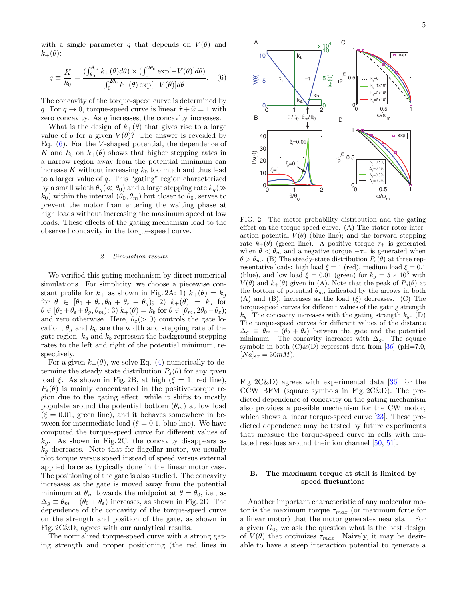with a single parameter q that depends on  $V(\theta)$  and  $k_+(\theta)$ :

<span id="page-5-0"></span>
$$
q \equiv \frac{K}{k_0} = \frac{\left(\int_{\theta_0}^{\theta_m} k_+(\theta)d\theta\right) \times \left(\int_0^{2\theta_0} \exp[-V(\theta)]d\theta\right)}{\int_0^{2\theta_0} k_+(\theta) \exp[-V(\theta)]d\theta}.
$$
 (6)

The concavity of the torque-speed curve is determined by q. For  $q \to 0$ , torque-speed curve is linear  $\tilde{\tau} + \tilde{\omega} = 1$  with zero concavity. As q increases, the concavity increases.

What is the design of  $k_{+}(\theta)$  that gives rise to a large value of q for a given  $V(\theta)$ ? The answer is revealed by Eq.  $(6)$ . For the *V*-shaped potential, the dependence of K and  $k_0$  on  $k_+(\theta)$  shows that higher stepping rates in a narrow region away from the potential minimum can increase K without increasing  $k_0$  too much and thus lead to a larger value of q. This "gating" region characterized by a small width  $\theta_q(\ll \theta_0)$  and a large stepping rate  $k_g(\gg$  $k_0$ ) within the interval  $(\theta_0, \theta_m)$  but closer to  $\theta_0$ , serves to prevent the motor from entering the waiting phase at high loads without increasing the maximum speed at low loads. These effects of the gating mechanism lead to the observed concavity in the torque-speed curve.

#### 2. Simulation results

We verified this gating mechanism by direct numerical simulations. For simplicity, we choose a piecewise constant profile for  $k_{+}$  as shown in Fig. 2A: 1)  $k_{+}(\theta) = k_{q}$ for  $\theta \in [\theta_0 + \theta_{\varepsilon}, \theta_0 + \theta_{\varepsilon} + \theta_q); 2)$   $k_+(\theta) = k_a$  for  $\theta \in [\theta_0 + \theta_{\varepsilon} + \theta_g, \theta_m); 3) k_+(\theta) = k_b \text{ for } \theta \in [\theta_m, 2\theta_0 - \theta_{\varepsilon});$ and zero otherwise. Here,  $\theta_{\varepsilon}$  (> 0) controls the gate location,  $\theta_q$  and  $k_q$  are the width and stepping rate of the gate region,  $k_a$  and  $k_b$  represent the background stepping rates to the left and right of the potential minimum, respectively.

For a given  $k_+(\theta)$ , we solve Eq. [\(4\)](#page-3-1) numerically to determine the steady state distribution  $P_s(\theta)$  for any given load  $\xi$ . As shown in Fig. 2B, at high ( $\xi = 1$ , red line),  $P_s(\theta)$  is mainly concentrated in the positive-torque region due to the gating effect, while it shifts to mostly populate around the potential bottom  $(\theta_m)$  at low load  $(\xi = 0.01, \text{ green line})$ , and it behaves somewhere in between for intermediate load ( $\xi = 0.1$ , blue line). We have computed the torque-speed curve for different values of  $k<sub>g</sub>$ . As shown in Fig. 2C, the concavity disappears as  $k<sub>g</sub>$  decreases. Note that for flagellar motor, we usually plot torque versus speed instead of speed versus external applied force as typically done in the linear motor case. The positioning of the gate is also studied. The concavity increases as the gate is moved away from the potential minimum at  $\theta_m$  towards the midpoint at  $\theta = \theta_0$ , i.e., as  $\Delta_q \equiv \theta_m - (\theta_0 + \theta_\varepsilon)$  increases, as shown in Fig. 2D. The dependence of the concavity of the torque-speed curve on the strength and position of the gate, as shown in Fig. 2C&D, agrees with our analytical results.

The normalized torque-speed curve with a strong gating strength and proper positioning (the red lines in



FIG. 2. The motor probability distribution and the gating effect on the torque-speed curve. (A) The stator-rotor interaction potential  $V(\theta)$  (blue line); and the forward stepping rate  $k_+(\theta)$  (green line). A positive torque  $\tau_+$  is generated when  $\theta < \theta_m$  and a negative torque  $-\tau_-$  is generated when  $\theta > \theta_m$ . (B) The steady-state distribution  $P_s(\theta)$  at three representative loads: high load  $\xi = 1$  (red), medium load  $\xi = 0.1$ (blue), and low load  $\xi = 0.01$  (green) for  $k_g = 5 \times 10^5$  with  $V(\theta)$  and  $k_+(\theta)$  given in (A). Note that the peak of  $P_s(\theta)$  at the bottom of potential  $\theta_m$ , indicated by the arrows in both (A) and (B), increases as the load  $(\xi)$  decreases. (C) The torque-speed curves for different values of the gating strength  $k_a$ . The concavity increases with the gating strength  $k_a$ . (D) The torque-speed curves for different values of the distance  $\Delta_q \equiv \theta_m - (\theta_0 + \theta_\epsilon)$  between the gate and the potential minimum. The concavity increases with  $\Delta_g$ . The square symbols in both  $(C)$ & $(D)$  represent data from [\[36\]](#page-14-1) (pH=7.0,  $[Na]_{ex} = 30mM$ .

Fig. 2C&D) agrees with experimental data [\[36\]](#page-14-1) for the CCW BFM (square symbols in Fig. 2C&D). The predicted dependence of concavity on the gating mechanism also provides a possible mechanism for the CW motor, which shows a linear torque-speed curve [\[23\]](#page-13-12). These predicted dependence may be tested by future experiments that measure the torque-speed curve in cells with mutated residues around their ion channel [\[50,](#page-14-13) [51\]](#page-14-14).

#### B. The maximum torque at stall is limited by speed fluctuations

Another important characteristic of any molecular motor is the maximum torque  $\tau_{max}$  (or maximum force for a linear motor) that the motor generates near stall. For a given  $G_0$ , we ask the question what is the best design of  $V(\theta)$  that optimizes  $\tau_{max}$ . Naively, it may be desirable to have a steep interaction potential to generate a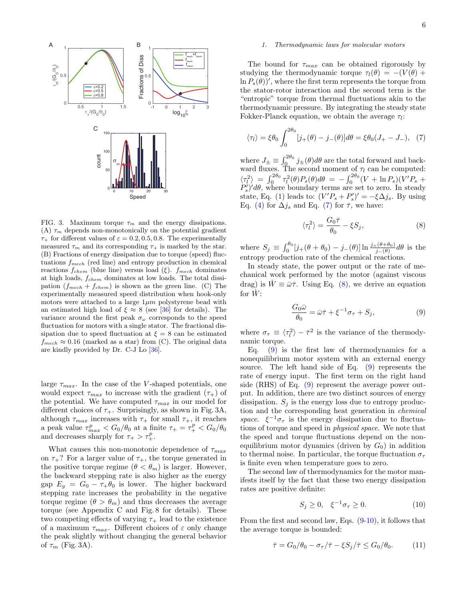

6



FIG. 3. Maximum torque  $\tau_m$  and the energy dissipations. (A)  $\tau_m$  depends non-monotonically on the potential gradient  $\tau_{+}$  for different values of  $\varepsilon = 0.2, 0.5, 0.8$ . The experimentally measured  $\tau_m$  and its corresponding  $\tau_+$  is marked by the star. (B) Fractions of energy dissipation due to torque (speed) fluctuations  $f_{mech}$  (red line) and entropy production in chemical reactions  $f_{chem}$  (blue line) versus load (ξ).  $f_{mech}$  dominates at high loads,  $f_{chem}$  dominates at low loads. The total dissipation  $(f_{mech} + f_{chem})$  is shown as the green line. (C) The experimentally measured speed distribution when hook-only motors were attached to a large  $1 \mu m$  polystyrene bead with an estimated high load of  $\xi \approx 8$  (see [\[36\]](#page-14-1) for details). The variance around the first peak  $\sigma_{\omega}$  corresponds to the speed fluctuation for motors with a single stator. The fractional dissipation due to speed fluctuation at  $\xi = 8$  can be estimated  $f_{mech} \approx 0.16$  (marked as a star) from (C). The original data are kindly provided by Dr. C-J Lo [\[36\]](#page-14-1).

large  $\tau_{max}$ . In the case of the V-shaped potentials, one would expect  $\tau_{max}$  to increase with the gradient  $(\tau_{+})$  of the potential. We have computed  $\tau_{max}$  in our model for different choices of  $\tau_{+}$ . Surprisingly, as shown in Fig. 3A, although  $\tau_{max}$  increases with  $\tau_{+}$  for small  $\tau_{+}$ , it reaches a peak value  $\tau_{max}^p < G_0/\theta_0$  at a finite  $\tau_+ = \tau_+^p < G_0/\theta_0$ and decreases sharply for  $\tau_+ > \tau_+^p$ .

What causes this non-monotonic dependence of  $\tau_{max}$ on  $\tau_{+}$ ? For a larger value of  $\tau_{+}$ , the torque generated in the positive torque regime  $(\theta < \theta_m)$  is larger. However, the backward stepping rate is also higher as the energy gap  $E_g = G_0 - \tau_+ \theta_0$  is lower. The higher backward stepping rate increases the probability in the negative torque regime  $(\theta > \theta_m)$  and thus decreases the average torque (see Appendix C and Fig. 8 for details). These two competing effects of varying  $\tau_{+}$  lead to the existence of a maximum  $\tau_{max}$ . Different choices of  $\varepsilon$  only change the peak slightly without changing the general behavior of  $\tau_m$  (Fig. 3A).

#### 1. Thermodynamic laws for molecular motors

The bound for  $\tau_{max}$  can be obtained rigorously by studying the thermodynamic torque  $\tau_l(\theta) = - (V(\theta) +$  $\ln P_s(\theta)$ ', where the first term represents the torque from the stator-rotor interaction and the second term is the "entropic" torque from thermal fluctuations akin to the thermodynamic pressure. By integrating the steady state Fokker-Planck equation, we obtain the average  $\tau_l$ :

<span id="page-6-0"></span>
$$
\langle \tau_l \rangle = \xi \theta_0 \int_0^{2\theta_0} [j_+(\theta) - j_-(\theta)] d\theta = \xi \theta_0 (J_+ - J_-), \tag{7}
$$

where  $J_{\pm} \equiv \int_0^{2\theta_0} j_{\pm}(\theta) d\theta$  are the total forward and backward fluxes. The second moment of  $\tau_l$  can be computed:  $\langle \tau_l^2 \rangle \;=\; \int_0^{2\theta_0} \tau_l^2(\theta) P_s(\theta) d\theta \;=\; - \int_0^{2\theta_0} (V + \ln P_s)(V' P_s \;+\;$  $P_s^{\prime}/d\theta$ , where boundary terms are set to zero. In steady state, Eq. [\(1\)](#page-2-0) leads to:  $(V'P_s + P'_s)' = -\xi \Delta j_s$ . By using Eq. [\(4\)](#page-3-1) for  $\Delta j_s$  and Eq. [\(7\)](#page-6-0) for  $\bar{\tau}$ , we have:

<span id="page-6-1"></span>
$$
\langle \tau_l^2 \rangle = \frac{G_0 \bar{\tau}}{\theta_0} - \xi S_j,\tag{8}
$$

where  $S_j \equiv \int_0^{\theta_0} [j_+(\theta + \theta_0) - j_-(\theta)] \ln \frac{j_+(\theta + \theta_0)}{j_-(\theta)} d\theta$  is the entropy production rate of the chemical reactions.

In steady state, the power output or the rate of mechanical work performed by the motor (against viscous drag) is  $W \equiv \bar{\omega}\bar{\tau}$ . Using Eq. [\(8\)](#page-6-1), we derive an equation for  $\dot{W}$ :

<span id="page-6-2"></span>
$$
\frac{G_0 \bar{\omega}}{\theta_0} = \bar{\omega}\bar{\tau} + \xi^{-1}\sigma_\tau + S_j,
$$
\n(9)

where  $\sigma_{\tau} \equiv \langle \tau_l^2 \rangle - \bar{\tau}^2$  is the variance of the thermodynamic torque.

Eq.  $(9)$  is the first law of thermodynamics for a nonequilibrium motor system with an external energy source. The left hand side of Eq. [\(9\)](#page-6-2) represents the rate of energy input. The first term on the right hand side (RHS) of Eq. [\(9\)](#page-6-2) represent the average power output. In addition, there are two distinct sources of energy dissipation.  $S_i$  is the energy loss due to entropy production and the corresponding heat generation in chemical space.  $\xi^{-1}\sigma_{\tau}$  is the energy dissipation due to fluctuations of torque and speed in physical space. We note that the speed and torque fluctuations depend on the nonequilibrium motor dynamics (driven by  $G_0$ ) in addition to thermal noise. In particular, the torque fluctuation  $\sigma_{\tau}$ is finite even when temperature goes to zero.

The second law of thermodynamics for the motor manifests itself by the fact that these two energy dissipation rates are positive definite:

<span id="page-6-3"></span>
$$
S_j \ge 0, \quad \xi^{-1} \sigma_\tau \ge 0. \tag{10}
$$

From the first and second law, Eqs. [\(9-](#page-6-2)[10\)](#page-6-3), it follows that the average torque is bounded:

$$
\bar{\tau} = G_0/\theta_0 - \sigma_\tau/\bar{\tau} - \xi S_j/\bar{\tau} \le G_0/\theta_0. \tag{11}
$$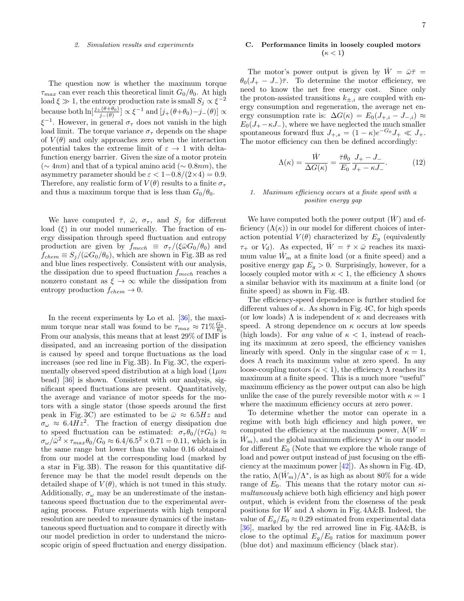#### 2. Simulation results and experiments

The question now is whether the maximum torque  $\tau_{max}$  can ever reach this theoretical limit  $G_0/\theta_0$ . At high load  $\xi \gg 1$ , the entropy production rate is small  $S_j \propto \xi^{-2}$ because both  $\ln[\frac{j+(\theta+\theta_0)}{j-(\theta)}] \propto \xi^{-1}$  and  $[j+(\theta+\theta_0)-j-(\theta)] \propto$  $\xi^{-1}$ . However, in general  $\sigma_{\tau}$  does not vanish in the high load limit. The torque variance  $\sigma_{\tau}$  depends on the shape of  $V(\theta)$  and only approaches zero when the interaction potential takes the extreme limit of  $\varepsilon \to 1$  with deltafunction energy barrier. Given the size of a motor protein  $(\sim 4nm)$  and that of a typical amino acid ( $\sim 0.8nm$ ), the asymmetry parameter should be  $\varepsilon < 1-0.8/(2\times4) = 0.9$ . Therefore, any realistic form of  $V(\theta)$  results to a finite  $\sigma_{\tau}$ and thus a maximum torque that is less than  $G_0/\theta_0$ .

We have computed  $\bar{\tau}$ ,  $\bar{\omega}$ ,  $\sigma_{\tau}$ , and  $S_j$  for different load  $(\xi)$  in our model numerically. The fraction of energy dissipation through speed fluctuation and entropy production are given by  $f_{mech} \equiv \sigma_{\tau}/(\xi \bar{\omega} G_0/\theta_0)$  and  $f_{chem} \equiv S_i/(\bar{\omega}G_0/\theta_0)$ , which are shown in Fig. 3B as red and blue lines respectively. Consistent with our analysis, the dissipation due to speed fluctuation  $f_{mech}$  reaches a nonzero constant as  $\xi \to \infty$  while the dissipation from entropy production  $f_{chem} \rightarrow 0$ .

In the recent experiments by Lo et al. [\[36\]](#page-14-1), the maximum torque near stall was found to be  $\tau_{max} \approx 71\% \frac{G_0}{\theta_0}$ . From our analysis, this means that at least 29% of IMF is dissipated, and an increasing portion of the dissipation is caused by speed and torque fluctuations as the load increases (see red line in Fig. 3B). In Fig. 3C, the experimentally observed speed distribution at a high load  $(1 \mu m)$ bead) [\[36\]](#page-14-1) is shown. Consistent with our analysis, significant speed fluctuations are present. Quantitatively, the average and variance of motor speeds for the motors with a single stator (those speeds around the first peak in Fig. 3C) are estimated to be  $\bar{\omega} \approx 6.5 Hz$  and  $\sigma_{\omega} \approx 6.4 Hz^2$ . The fraction of energy dissipation due to speed fluctuation can be estimated:  $\sigma_{\tau} \theta_0 / (\bar{\tau} G_0) \approx$  $\sigma_{\omega}/\bar{\omega}^2 \times \tau_{max} \theta_0/G_0 \approx 6.4/6.5^2 \times 0.71 = 0.11$ , which is in the same range but lower than the value 0.16 obtained from our model at the corresponding load (marked by a star in Fig. 3B). The reason for this quantitative difference may be that the model result depends on the detailed shape of  $V(\theta)$ , which is not tuned in this study. Additionally,  $\sigma_{\omega}$  may be an underestimate of the instantaneous speed fluctuation due to the experimental averaging process. Future experiments with high temporal resolution are needed to measure dynamics of the instantaneous speed fluctuation and to compare it directly with our model prediction in order to understand the microscopic origin of speed fluctuation and energy dissipation.

#### C. Performance limits in loosely coupled motors  $(\kappa < 1)$

The motor's power output is given by  $\dot{W} = \bar{\omega}\bar{\tau} =$  $\theta_0(J_+ - J_-)\bar{\tau}$ . To determine the motor efficiency, we need to know the net free energy cost. Since only the proton-assisted transitions  $k_{\pm,i}$  are coupled with energy consumption and regeneration, the average net energy consumption rate is:  $\Delta G(\kappa) = E_0(J_{+,i} - J_{-,i}) \approx$  $E_0(J_+ - \kappa J_-)$ , where we have neglected the much smaller spontaneous forward flux  $J_{+,s} = (1 - \kappa)e^{-G_0}J_+ \ll J_+$ . The motor efficiency can then be defined accordingly:

$$
\Lambda(\kappa) = \frac{\dot{W}}{\Delta G(\kappa)} = \frac{\bar{\tau}\theta_0}{E_0} \frac{J_+ - J_-}{J_+ - \kappa J_-}.
$$
 (12)

#### 1. Maximum efficiency occurs at a finite speed with a positive energy gap

We have computed both the power output  $(W)$  and efficiency  $(\Lambda(\kappa))$  in our model for different choices of interaction potential  $V(\theta)$  characterized by  $E_g$  (equivalently  $\tau_+$  or  $V_d$ ). As expected,  $\dot{W} = \bar{\tau} \times \bar{\omega}$  reaches its maximum value  $W_m$  at a finite load (or a finite speed) and a positive energy gap  $E<sub>g</sub> > 0$ . Surprisingly, however, for a loosely coupled motor with  $\kappa < 1$ , the efficiency  $\Lambda$  shows a similar behavior with its maximum at a finite load (or finite speed) as shown in Fig. 4B.

The efficiency-speed dependence is further studied for different values of  $\kappa$ . As shown in Fig. 4C, for high speeds (or low loads)  $\Lambda$  is independent of  $\kappa$  and decreases with speed. A strong dependence on  $\kappa$  occurs at low speeds (high loads). For any value of  $\kappa < 1$ , instead of reaching its maximum at zero speed, the efficiency vanishes linearly with speed. Only in the singular case of  $\kappa = 1$ , does Λ reach its maximum value at zero speed. In any loose-coupling motors  $(\kappa < 1)$ , the efficiency  $\Lambda$  reaches its maximum at a finite speed. This is a much more "useful" maximum efficiency as the power output can also be high unlike the case of the purely reversible motor with  $\kappa = 1$ where the maximum efficiency occurs at zero power.

To determine whether the motor can operate in a regime with both high efficiency and high power, we computed the efficiency at the maximum power,  $\Lambda(W=$  $\dot{W}_m$ , and the global maximum efficiency  $\Lambda^*$  in our model for different  $E_0$  (Note that we explore the whole range of load and power output instead of just focusing on the efficiency at the maximum power [\[42\]](#page-14-5)). As shown in Fig. 4D, the ratio,  $\Lambda(\dot{W}_m)/\Lambda^*$ , is as high as about 80% for a wide range of  $E_0$ . This means that the rotary motor can simultaneously achieve both high efficiency and high power output, which is evident from the closeness of the peak positions for W and  $\Lambda$  shown in Fig. 4A&B. Indeed, the value of  $E_q/E_0 \approx 0.29$  estimated from experimental data [\[36\]](#page-14-1), marked by the red arrowed line in Fig. 4A&B, is close to the optimal  $E_q/E_0$  ratios for maximum power (blue dot) and maximum efficiency (black star).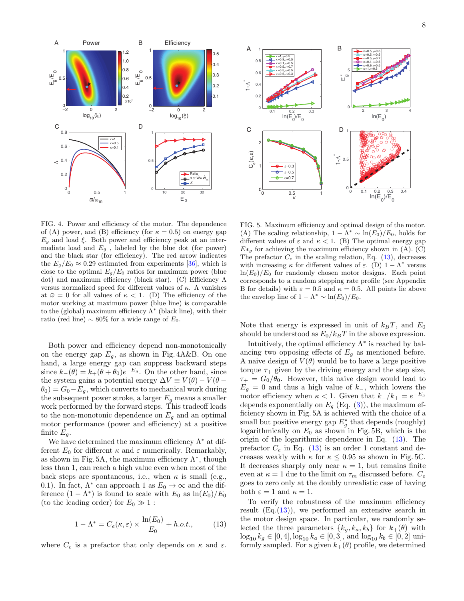

2  $ln(E_0^3)$  4 0 5  $\kappa$ =0.5,  $\epsilon$ =0.3  $\kappa$ =0.5,  $\epsilon$ =0.5  $\kappa$ =0.5,  $\epsilon$ =0.7  $\kappa$ =0.1, $\epsilon$ =0.5  $\kappa$ =0.9, $\epsilon$ =0.5  $\kappa=1, \epsilon=0.5$ 0 0.1 0.2 0.3 0.4<br> $ln(E_0)/E_0$  $0 + 0$  $\leq 0.5$ 1 0.1  $\ln(E_0)/E_0$  0.3 0  $0.2$ 0.4 0.6 0.8 1  $\leq$  $\kappa=1, \epsilon=0.5$  $κ=0.9, ε=0.5$  $k = 0.1, c = 0.5$  $\kappa$ =0.5,  $\epsilon$ =0.7  $κ=0.5, ε=0.5$  $κ=0.5, ε=0.3$  $\sim$ 0 0.5 1 κ  $0$ <sub>0</sub> 1 2  $C_{e}^{\left(\kappa,\varepsilon\right)}$ ε=0.3 ε=0.5 ε=0.7 B D A C  $\sqcup$ 

FIG. 4. Power and efficiency of the motor. The dependence of (A) power, and (B) efficiency (for  $\kappa = 0.5$ ) on energy gap  $E_q$  and load  $\xi$ . Both power and efficiency peak at an intermediate load and  $E_g$ , labeled by the blue dot (for power) and the black star (for efficiency). The red arrow indicates the  $E_q/E_0 \approx 0.29$  estimated from experiments [\[36\]](#page-14-1), which is close to the optimal  $E_g/E_0$  ratios for maximum power (blue dot) and maximum efficiency (black star). (C) Efficiency Λ versus normalized speed for different values of κ. Λ vanishes at  $\bar{\omega} = 0$  for all values of  $\kappa < 1$ . (D) The efficiency of the motor working at maximum power (blue line) is comparable to the (global) maximum efficiency  $\Lambda^*$  (black line), with their ratio (red line)  $\sim 80\%$  for a wide range of  $E_0$ .

Both power and efficiency depend non-monotonically on the energy gap  $E_g$ , as shown in Fig. 4A&B. On one hand, a large energy gap can suppress backward steps since  $k_-(\theta) = k_+(\theta + \theta_0)e^{-E_g}$ . On the other hand, since the system gains a potential energy  $\Delta V \equiv V(\theta) - V(\theta \theta_0$ ) =  $G_0 - E_g$ , which converts to mechanical work during the subsequent power stroke, a larger  $E<sub>q</sub>$  means a smaller work performed by the forward steps. This tradeoff leads to the non-monotonic dependence on  $E<sub>q</sub>$  and an optimal motor performance (power and efficiency) at a positive finite  $E_g$ .

We have determined the maximum efficiency  $\Lambda^*$  at different  $E_0$  for different  $\kappa$  and  $\varepsilon$  numerically. Remarkably, as shown in Fig. 5A, the maximum efficiency  $\Lambda^*$ , though less than 1, can reach a high value even when most of the back steps are spontaneous, i.e., when  $\kappa$  is small (e.g., 0.1). In fact,  $\Lambda^*$  can approach 1 as  $E_0 \to \infty$  and the difference  $(1 - \Lambda^*)$  is found to scale with  $E_0$  as  $\ln(E_0)/E_0$ (to the leading order) for  $E_0 \gg 1$ :

<span id="page-8-0"></span>
$$
1 - \Lambda^* = C_e(\kappa, \varepsilon) \times \frac{\ln(E_0)}{E_0} + h.o.t., \qquad (13)
$$

where  $C_e$  is a prefactor that only depends on  $\kappa$  and  $\varepsilon$ .

FIG. 5. Maximum efficiency and optimal design of the motor. (A) The scaling relationship,  $1 - \Lambda^* \sim \ln(E_0)/E_0$ , holds for different values of  $\varepsilon$  and  $\kappa$  < 1. (B) The optimal energy gap  $E*_g$  for achieving the maximum efficiency shown in (A). (C) The prefactor  $C_e$  in the scaling relation, Eq. [\(13\)](#page-8-0), decreases with increasing  $\kappa$  for different values of  $\varepsilon$ . (D)  $1 - \Lambda^*$  versus  $ln(E_0)/E_0$  for randomly chosen motor designs. Each point corresponds to a random stepping rate profile (see Appendix B for details) with  $\varepsilon = 0.5$  and  $\kappa = 0.5$ . All points lie above the envelop line of  $1 - \Lambda^* \sim \ln(E_0)/E_0$ .

Note that energy is expressed in unit of  $k_BT$ , and  $E_0$ should be understood as  $E_0/k_BT$  in the above expression.

Intuitively, the optimal efficiency  $\Lambda^*$  is reached by balancing two opposing effects of  $E<sub>g</sub>$  as mentioned before. A naive design of  $V(\theta)$  would be to have a large positive torque  $\tau_{+}$  given by the driving energy and the step size,  $\tau_+ = G_0/\theta_0$ . However, this naive design would lead to  $E_g = 0$  and thus a high value of  $k_$ , which lowers the motor efficiency when  $\kappa < 1$ . Given that  $k_-/k_+ = e^{-E_g}$ depends exponentially on  $E_q$  (Eq. [\(3\)](#page-3-0)), the maximum efficiency shown in Fig. 5A is achieved with the choice of a small but positive energy gap  $E_g^*$  that depends (roughly) logarithmically on  $E_0$  as shown in Fig. 5B, which is the origin of the logarithmic dependence in Eq. [\(13\)](#page-8-0). The prefactor  $C_e$  in Eq. [\(13\)](#page-8-0) is an order 1 constant and decreases weakly with  $\kappa$  for  $\kappa \leq 0.95$  as shown in Fig. 5C. It decreases sharply only near  $\kappa = 1$ , but remains finite even at  $\kappa = 1$  due to the limit on  $\tau_m$  discussed before.  $C_e$ goes to zero only at the doubly unrealistic case of having both  $\varepsilon = 1$  and  $\kappa = 1$ .

To verify the robustness of the maximum efficiency result  $(Eq.(13))$  $(Eq.(13))$  $(Eq.(13))$ , we performed an extensive search in the motor design space. In particular, we randomly selected the three parameters  $\{k_g, k_a, k_b\}$  for  $k_+(\theta)$  with  $\log_{10} k_g \in [0, 4], \log_{10} k_a \in [0, 3],$  and  $\log_{10} k_b \in [0, 2]$  uniformly sampled. For a given  $k_+(\theta)$  profile, we determined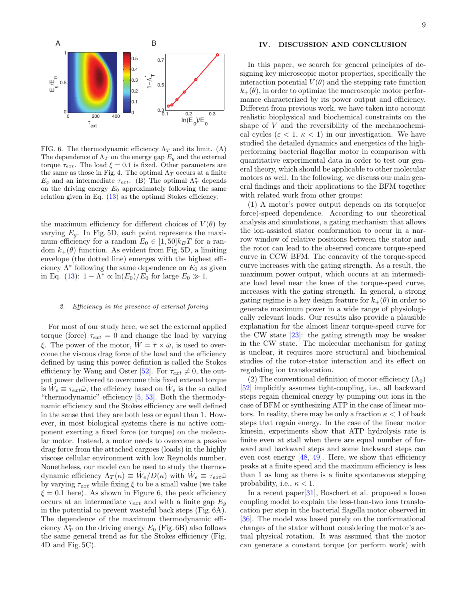

FIG. 6. The thermodynamic efficiency  $\Lambda_T$  and its limit. (A) The dependence of  $\Lambda_T$  on the energy gap  $E_g$  and the external torque  $\tau_{ext}$ . The load  $\xi = 0.1$  is fixed. Other parameters are the same as those in Fig. 4. The optimal  $\Lambda_T$  occurs at a finite  $E_g$  and an intermediate  $\tau_{ext}$ . (B) The optimal  $\Lambda^*_T$  depends on the driving energy  $E_0$  approximately following the same relation given in Eq. [\(13\)](#page-8-0) as the optimal Stokes efficiency.

the maximum efficiency for different choices of  $V(\theta)$  by varying  $E_q$ . In Fig. 5D, each point represents the maximum efficiency for a random  $E_0 \in [1, 50]k_BT$  for a random  $k_{+}(\theta)$  function. As evident from Fig. 5D, a limiting envelope (the dotted line) emerges with the highest efficiency  $\Lambda^*$  following the same dependence on  $E_0$  as given in Eq. [\(13\)](#page-8-0):  $1 - \Lambda^* \propto \ln(E_0)/E_0$  for large  $E_0 \gg 1$ .

#### 2. Efficiency in the presence of external forcing

For most of our study here, we set the external applied torque (force)  $\tau_{ext} = 0$  and change the load by varying ξ. The power of the motor,  $\dot{W} = \bar{\tau} \times \bar{\omega}$ , is used to overcome the viscous drag force of the load and the efficiency defined by using this power defintion is called the Stokes efficiency by Wang and Oster [\[52\]](#page-14-15). For  $\tau_{ext} \neq 0$ , the output power delivered to overcome this fixed extenal torque is  $\dot{W}_e \equiv \tau_{ext}\bar{\omega}$ , the effciency based on  $\dot{W}_e$  is the so called "thermodynamic" efficiency [\[5,](#page-13-2) [53\]](#page-14-16). Both the thermodynamic efficiency and the Stokes efficiency are well defined in the sense that they are both less or equal than 1. However, in most biological systems there is no active component exerting a fixed force (or torque) on the molecular motor. Instead, a motor needs to overcome a passive drag force from the attached cargoes (loads) in the highly viscose cellular environment with low Reynolds number. Nonetheless, our model can be used to study the thermodynamic efficiency  $\Lambda_T(\kappa) \equiv \dot{W}_e/D(\kappa)$  with  $\dot{W}_e \equiv \tau_{ext}\bar{\omega}$ by varying  $\tau_{ext}$  while fixing  $\xi$  to be a small value (we take  $\xi = 0.1$  here). As shown in Figure 6, the peak efficiency occurs at an intermediate  $\tau_{ext}$  and with a finite gap  $E_q$ in the potential to prevent wasteful back steps (Fig. 6A). The dependence of the maximum thermodynamic efficiency  $\bar{\Lambda}^*_T$  on the driving energy  $E_0$  (Fig. 6B) also follows the same general trend as for the Stokes efficiency (Fig. 4D and Fig. 5C).

#### IV. DISCUSSION AND CONCLUSION

In this paper, we search for general principles of designing key microscopic motor properties, specifically the interaction potential  $V(\theta)$  and the stepping rate function  $k_{+}(\theta)$ , in order to optimize the macroscopic motor performance characterized by its power output and efficiency. Different from previous work, we have taken into account realistic biophysical and biochemical constraints on the shape of V and the reversibility of the mechanochemical cycles ( $\varepsilon$  < 1,  $\kappa$  < 1) in our investigation. We have studied the detailed dynamics and energetics of the highperforming bacterial flagellar motor in comparison with quantitative experimental data in order to test our general theory, which should be applicable to other molecular motors as well. In the following, we discuss our main general findings and their applications to the BFM together with related work from other groups:

(1) A motor's power output depends on its torque(or force)-speed dependence. According to our theoretical analysis and simulations, a gating mechanism that allows the ion-assisted stator conformation to occur in a narrow window of relative positions between the stator and the rotor can lead to the observed concave torque-speed curve in CCW BFM. The concavity of the torque-speed curve increases with the gating strength. As a result, the maximum power output, which occurs at an intermediate load level near the knee of the torque-speed curve, increases with the gating strength. In general, a strong gating regime is a key design feature for  $k_{+}(\theta)$  in order to generate maximum power in a wide range of physiologically relevant loads. Our results also provide a plausible explanation for the almost linear torque-speed curve for the CW state [\[23\]](#page-13-12): the gating strength may be weaker in the CW state. The molecular mechanism for gating is unclear, it requires more structural and biochemical studies of the rotor-stator interaction and its effect on regulating ion translocation.

(2) The conventional definition of motor efficiency  $(\Lambda_0)$ [\[52\]](#page-14-15) implicitly assumes tight-coupling, i.e., all backward steps regain chemical energy by pumping out ions in the case of BFM or synthesizing ATP in the case of linear motors. In reality, there may be only a fraction  $\kappa < 1$  of back steps that regain energy. In the case of the linear motor kinesin, experiments show that ATP hydrolysis rate is finite even at stall when there are equal number of forward and backward steps and some backward steps can even cost energy  $[48, 49]$  $[48, 49]$  $[48, 49]$ . Here, we show that efficiency peaks at a finite speed and the maximum efficiency is less than 1 as long as there is a finite spontaneous stepping probability, i.e.,  $\kappa < 1$ .

In a recent paper[\[31\]](#page-13-20), Boschert et al. proposed a loose coupling model to explain the less-than-two ions translocation per step in the bacterial flagella motor observed in [\[36\]](#page-14-1). The model was based purely on the conformational changes of the stator without considering the motor's actual physical rotation. It was assumed that the motor can generate a constant torque (or perform work) with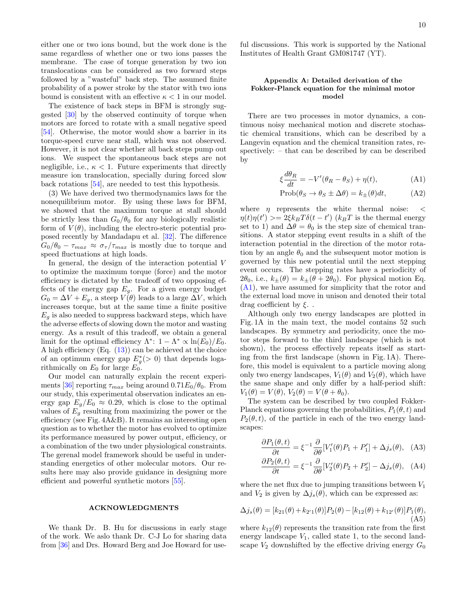either one or two ions bound, but the work done is the same regardless of whether one or two ions passes the membrane. The case of torque generation by two ion translocations can be considered as two forward steps followed by a "wasteful" back step. The assumed finite probability of a power stroke by the stator with two ions bound is consistent with an effective  $\kappa < 1$  in our model.

The existence of back steps in BFM is strongly suggested [\[30\]](#page-13-21) by the observed continuity of torque when motors are forced to rotate with a small negative speed [\[54\]](#page-14-17). Otherwise, the motor would show a barrier in its torque-speed curve near stall, which was not observed. However, it is not clear whether all back steps pump out ions. We suspect the spontaneous back steps are not negligible, i.e.,  $\kappa < 1$ . Future experiments that directly measure ion translocation, specially during forced slow back rotations [\[54\]](#page-14-17), are needed to test this hypothesis.

(3) We have derived two thermodynamics laws for the nonequilibrium motor. By using these laws for BFM, we showed that the maximum torque at stall should be strictly less than  $G_0/\theta_0$  for any biologically realistic form of  $V(\theta)$ , including the electro-steric potential proposed recently by Mandadapu et al. [\[32\]](#page-13-14). The difference  $G_0/\theta_0 - \tau_{max} \approx \sigma_{\tau}/\tau_{max}$  is mostly due to torque and speed fluctuations at high loads.

In general, the design of the interaction potential V to optimize the maximum torque (force) and the motor efficiency is dictated by the tradeoff of two opposing effects of the energy gap  $E_q$ . For a given energy budget  $G_0 = \Delta V + E_q$ , a steep  $V(\theta)$  leads to a large  $\Delta V$ , which increases torque, but at the same time a finite positive  $E_q$  is also needed to suppress backward steps, which have the adverse effects of slowing down the motor and wasting energy. As a result of this tradeoff, we obtain a general limit for the optimal efficiency  $\Lambda^*$ :  $1 - \Lambda^* \propto \ln(E_0)/E_0$ . A high efficiency  $(Eq. (13))$  $(Eq. (13))$  $(Eq. (13))$  can be achieved at the choice of an optimum energy gap  $E_g^*(>0)$  that depends logarithmically on  $E_0$  for large  $E_0$ .

Our model can naturally explain the recent experi-ments [\[36\]](#page-14-1) reporting  $\tau_{max}$  being around 0.71 $E_0/\theta_0$ . From our study, this experimental observation indicates an energy gap  $E_g/E_0 \approx 0.29$ , which is close to the optimal values of  $E<sub>g</sub>$  resulting from maximizing the power or the efficiency (see Fig. 4A&B). It remains an interesting open question as to whether the motor has evolved to optimize its performance measured by power output, efficiency, or a combination of the two under physiological constraints. The gerenal model framework should be useful in understanding energetics of other molecular motors. Our results here may also provide guidance in designing more efficient and powerful synthetic motors [\[55\]](#page-14-18).

#### ACKNOWLEDGMENTS

We thank Dr. B. Hu for discussions in early stage of the work. We aslo thank Dr. C-J Lo for sharing data from [\[36\]](#page-14-1) and Drs. Howard Berg and Joe Howard for useful discussions. This work is supported by the National Institutes of Health Grant GM081747 (YT).

#### Appendix A: Detailed derivation of the Fokker-Planck equation for the minimal motor model

There are two processes in motor dynamics, a continuous noisy mechanical motion and discrete stochastic chemical transitions, which can be described by a Langevin equation and the chemical transition rates, respectively: – that can be described by can be described by

<span id="page-10-0"></span>
$$
\xi \frac{d\theta_R}{dt} = -V'(\theta_R - \theta_S) + \eta(t),\tag{A1}
$$

$$
Prob(\theta_S \to \theta_S \pm \Delta \theta) = k_{\pm}(\theta)dt, \tag{A2}
$$

where  $\eta$  represents the white thermal noise:  $\lt$  $\eta(t)\eta(t')\gg=2\xi k_BT\delta(t-t')$  ( $k_BT$  is the thermal energy set to 1) and  $\Delta\theta = \theta_0$  is the step size of chemical transitions. A stator stepping event results in a shift of the interaction potential in the direction of the motor rotation by an angle  $\theta_0$  and the subsequent motor motion is governed by this new potential until the next stepping event occurs. The stepping rates have a periodicity of  $2\theta_0$ , i.e.,  $k_{\pm}(\theta) = k_{\pm}(\theta + 2\theta_0)$ . For physical motion Eq. [\(A1\)](#page-10-0), we have assumed for simplicity that the rotor and the external load move in unison and denoted their total drag coefficient by  $\xi$ .

Although only two energy landscapes are plotted in Fig. 1A in the main text, the model contains 52 such landscapes. By symmetry and periodicity, once the motor steps forward to the third landscape (which is not shown), the process effectively repeats itself as starting from the first landscape (shown in Fig. 1A). Therefore, this model is equivalent to a particle moving along only two energy landscapes,  $V_1(\theta)$  and  $V_2(\theta)$ , which have the same shape and only differ by a half-period shift:  $V_1(\theta) = V(\theta), V_2(\theta) = V(\theta + \theta_0).$ 

The system can be described by two coupled Fokker-Planck equations governing the probabilities,  $P_1(\theta, t)$  and  $P_2(\theta, t)$ , of the particle in each of the two energy landscapes:

<span id="page-10-1"></span>
$$
\frac{\partial P_1(\theta, t)}{\partial t} = \xi^{-1} \frac{\partial}{\partial \theta} [V_1'(\theta) P_1 + P_1'] + \Delta j_s(\theta), \quad \text{(A3)}
$$

$$
\frac{\partial P_2(\theta, t)}{\partial t} = \xi^{-1} \frac{\partial}{\partial \theta} [V_2'(\theta) P_2 + P_2'] - \Delta j_s(\theta), \quad \text{(A4)}
$$

where the net flux due to jumping transitions between  $V_1$ and  $V_2$  is given by  $\Delta j_s(\theta)$ , which can be expressed as:

<span id="page-10-2"></span>
$$
\Delta j_s(\theta) = [k_{21}(\theta) + k_{2'1}(\theta)]P_2(\theta) - [k_{12}(\theta) + k_{12'}(\theta)]P_1(\theta),
$$
\n(A5)

where  $k_{12}(\theta)$  represents the transition rate from the first energy landscape  $V_1$ , called state 1, to the second landscape  $V_2$  downshifted by the effective driving energy  $G_0$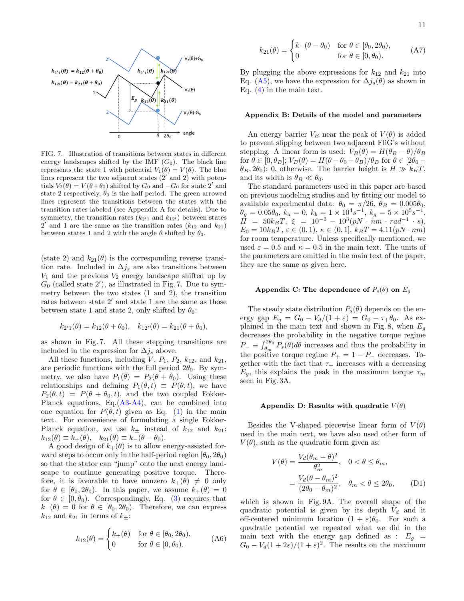

FIG. 7. Illustration of transitions between states in different energy landscapes shifted by the IMF  $(G_0)$ . The black line represents the state 1 with potential  $V_1(\theta) = V(\theta)$ . The blue lines represent the two adjacent states  $(2'$  and 2) with potentials  $V_2(\theta) = V(\theta + \theta_0)$  shifted by  $G_0$  and  $-G_0$  for state 2' and state 2 respectively,  $\theta_0$  is the half period. The green arrowed lines represent the transitions between the states with the transition rates labeled (see Appendix A for details). Due to symmetry, the transition rates  $(k_{2'1}$  and  $k_{12'})$  between states 2' and 1 are the same as the transition rates  $(k_{12}$  and  $k_{21})$ between states 1 and 2 with the angle  $\theta$  shifted by  $\theta_0$ .

(state 2) and  $k_{21}(\theta)$  is the corresponding reverse transition rate. Included in  $\Delta j_s$  are also transitions between  $V_1$  and the previous  $V_2$  energy landscape shifted up by  $G_0$  (called state 2'), as illustrated in Fig. 7. Due to symmetry between the two states (1 and 2), the transition rates between state  $2'$  and state 1 are the same as those between state 1 and state 2, only shifted by  $\theta_0$ :

$$
k_{2'1}(\theta) = k_{12}(\theta + \theta_0), \quad k_{12'}(\theta) = k_{21}(\theta + \theta_0),
$$

as shown in Fig. 7. All these stepping transitions are included in the expression for  $\Delta j_s$  above.

All these functions, including  $V, P_1, P_2, k_{12}$ , and  $k_{21}$ , are periodic functions with the full period  $2\theta_0$ . By symmetry, we also have  $P_1(\theta) = P_2(\theta + \theta_0)$ . Using these relationships and defining  $P_1(\theta, t) \equiv P(\theta, t)$ , we have  $P_2(\theta, t) = P(\theta + \theta_0, t)$ , and the two coupled Fokker-Planck equations, Eq.[\(A3-A4\)](#page-10-1), can be combined into one equation for  $P(\theta, t)$  given as Eq. [\(1\)](#page-2-0) in the main text. For convenience of formulating a single Fokker-Planck equation, we use  $k_{\pm}$  instead of  $k_{12}$  and  $k_{21}$ :  $k_{12}(\theta) \equiv k_+(\theta)$ ,  $k_{21}(\theta) \equiv k_-(\theta - \theta_0)$ .

A good design of  $k_{+}(\theta)$  is to allow energy-assisted forward steps to occur only in the half-period region  $[\theta_0, 2\theta_0]$ so that the stator can "jump" onto the next energy landscape to continue generating positive torque. Therefore, it is favorable to have nonzero  $k_+(\theta) \neq 0$  only for  $\theta \in [\theta_0, 2\theta_0)$ . In this paper, we assume  $k_+(\theta) = 0$ for  $\theta \in [0, \theta_0)$ . Correspondingly, Eq. [\(3\)](#page-3-0) requires that  $k_-(\theta) = 0$  for  $\theta \in [\theta_0, 2\theta_0)$ . Therefore, we can express  $k_{12}$  and  $k_{21}$  in terms of  $k_{\pm}$ :

$$
k_{12}(\theta) = \begin{cases} k_+(\theta) & \text{for } \theta \in [\theta_0, 2\theta_0), \\ 0 & \text{for } \theta \in [0, \theta_0). \end{cases}
$$
 (A6)

$$
k_{21}(\theta) = \begin{cases} k_{-}(\theta - \theta_0) & \text{for } \theta \in [\theta_0, 2\theta_0), \\ 0 & \text{for } \theta \in [0, \theta_0). \end{cases}
$$
 (A7)

By plugging the above expressions for  $k_{12}$  and  $k_{21}$  into Eq. [\(A5\)](#page-10-2), we have the expression for  $\Delta j_s(\theta)$  as shown in Eq.  $(4)$  in the main text.

#### Appendix B: Details of the model and parameters

An energy barrier  $V_B$  near the peak of  $V(\theta)$  is added to prevent slipping between two adjacent FliG's without stepping. A linear form is used:  $V_B(\theta) = H(\theta_B - \theta)/\theta_B$ for  $\theta \in [0, \theta_B]$ ;  $V_B(\theta) = H(\theta - \theta_0 + \theta_B)/\theta_B$  for  $\theta \in [2\theta_0 \theta_B$ ,  $2\theta_0$ ; 0, otherwise. The barrier height is  $H \gg k_BT$ , and its width is  $\theta_B \ll \theta_0$ .

The standard parameters used in this paper are based on previous modeling studies and by fitting our model to available experimental data:  $\theta_0 = \pi/26$ ,  $\theta_B = 0.005\theta_0$ ,  $\theta_g = 0.05\theta_0, k_a = 0, k_b = 1 \times 10^4 s^{-1}, k_g = 5 \times 10^5 s^{-1},$  $\check{H}$  = 50k<sub>B</sub>T,  $\xi$  = 10<sup>-3</sup> – 10<sup>3</sup>(pN · nm · rad<sup>-1</sup> · s),  $E_0 = 10k_BT$ ,  $\varepsilon \in (0,1)$ ,  $\kappa \in (0,1]$ ,  $k_BT = 4.11(pN \cdot nm)$ for room temperature. Unless specifically mentioned, we used  $\varepsilon = 0.5$  and  $\kappa = 0.5$  in the main text. The units of the parameters are omitted in the main text of the paper, they are the same as given here.

#### Appendix C: The dependence of  $P_s(\theta)$  on  $E_q$

The steady state distribution  $P_s(\theta)$  depends on the energy gap  $E_g = G_0 - V_d/(1+\varepsilon) = G_0 - \tau_+\theta_0$ . As explained in the main text and shown in Fig. 8, when  $E<sub>q</sub>$ decreases the probability in the negative torque regime  $P_{-} \equiv \int_{\theta_{m}}^{2\theta_{0}} P_{s}(\theta) d\theta$  increases and thus the probability in the positive torque regime  $P_+ = 1 - P_-$  decreases. Together with the fact that  $\tau_+$  increases with a decreasing  $E_q$ , this explains the peak in the maximum torque  $\tau_m$ seen in Fig. 3A.

#### Appendix D: Results with quadratic  $V(\theta)$

Besides the V-shaped piecewise linear form of  $V(\theta)$ used in the main text, we have also used other form of  $V(\theta)$ , such as the quadratic form given as:

<span id="page-11-0"></span>
$$
V(\theta) = \frac{V_d(\theta_m - \theta)^2}{\theta_m^2}, \quad 0 < \theta \le \theta_m,
$$
  
= 
$$
\frac{V_d(\theta - \theta_m)^2}{(2\theta_0 - \theta_m)^2}, \quad \theta_m < \theta \le 2\theta_0,
$$
 (D1)

which is shown in Fig. 9A. The overall shape of the quadratic potential is given by its depth  $V_d$  and it off-centered minimum location  $(1 + \varepsilon)\theta_0$ . For such a quadratic potential we repeated what we did in the main text with the energy gap defined as :  $E_q =$  $G_0 - V_d(1 + 2\varepsilon)/(1 + \varepsilon)^2$ . The results on the maximum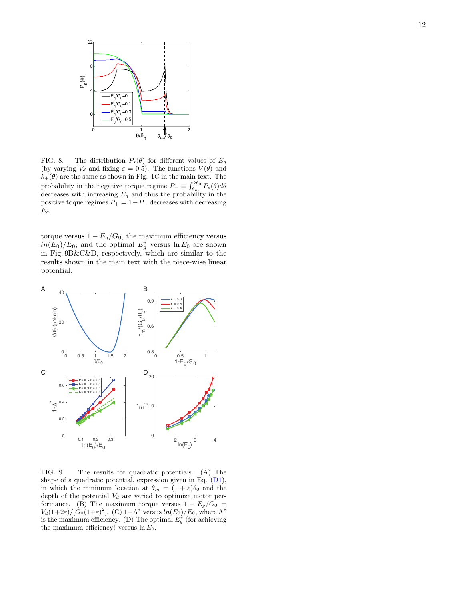

FIG. 8. The distribution  $P_s(\theta)$  for different values of  $E_g$ (by varying  $V_d$  and fixing  $\varepsilon = 0.5$ ). The functions  $V(\theta)$  and  $k_+(\theta)$  are the same as shown in Fig. 1C in the main text. The probability in the negative torque regime  $P_{-} \equiv \int_{\theta_m}^{2\theta_0} P_s(\theta) d\theta$ decreases with increasing  $E_g$  and thus the probability in the positive toque regimes  $P_+ = 1 - P_-\,$  decreases with decreasing  $E_g$ .

torque versus  $1 - E_g/G_0$ , the maximum efficiency versus  $ln(E_0)/E_0$ , and the optimal  $E_g^*$  versus  $ln E_0$  are shown in Fig. 9B&C&D, respectively, which are similar to the results shown in the main text with the piece-wise linear potential.



FIG. 9. The results for quadratic potentials. (A) The shape of a quadratic potential, expression given in Eq. [\(D1\)](#page-11-0), in which the minimum location at  $\theta_m = (1 + \varepsilon)\theta_0$  and the depth of the potential  $V_d$  are varied to optimize motor performance. (B) The maximum torque versus  $1 - E_g/G_0 =$  $V_d(1+2\varepsilon)/[G_0(1+\varepsilon)^2]$ . (C)  $1-\Lambda^*$  versus  $ln(E_0)/E_0$ , where  $\Lambda^*$ is the maximum efficiency. (D) The optimal  $E_g^*$  (for achieving the maximum efficiency) versus  $\ln E_0$ .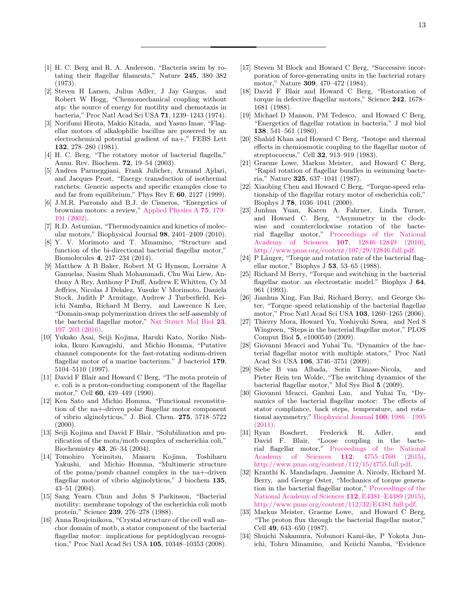- <span id="page-13-0"></span>[1] H. C. Berg and R. A. Anderson, "Bacteria swim by rotating their flagellar filaments," Nature 245, 380–382 (1973).
- [2] Steven H Larsen, Julius Adler, J Jay Gargus, and Robert W Hogg, "Chemomechanical coupling without atp: the source of energy for motility and chemotaxis in bacteria," Proc Natl Acad Sci USA 71, 1239–1243 (1974).
- [3] Norifumi Hirota, Makio Kitada, and Yasuo Imae, "Flagellar motors of alkalophilic bacillus are powered by an electrochemical potential gradient of na+," FEBS Lett 132, 278–280 (1981).
- <span id="page-13-1"></span>[4] H. C. Berg, "The rotatory motor of bacterial flagella," Annu. Rev. Biochem. 72, 19–54 (2003).
- <span id="page-13-2"></span>[5] Andrea Parmeggiani, Frank Julicher, Armand Ajdari, and Jacques Prost, "Energy transduction of isothermal ratchets: Generic aspects and specific examples close to and far from equilibrium," Phys Rev E 60, 2127 (1999).
- <span id="page-13-17"></span>[6] J.M.R. Parrondo and B.J. de Cisneros, "Energetics of brownian motors: a review," [Applied Physics A](http://dx.doi.org/10.1007/s003390201332) 75, 179– [191 \(2002\).](http://dx.doi.org/10.1007/s003390201332)
- <span id="page-13-3"></span>[7] R.D. Astumian, "Thermodynamics and kinetics of molecular motors," Biophysical Journal 98, 2401–2409 (2010).
- <span id="page-13-4"></span>[8] Y. V. Morimoto and T. Minamino, "Structure and function of the bi-directional bacterial flagellar motor," Biomolecules 4, 217–234 (2014).
- <span id="page-13-5"></span>[9] Matthew A B Baker, Robert M G Hynson, Lorraine A Ganuelas, Nasim Shah Mohammadi, Chu Wai Liew, Anthony A Rey, Anthony P Duff, Andrew E Whitten, Cy M Jeffries, Nicolas J Delalez, Yusuke V Morimoto, Daniela Stock, Judith P Armitage, Andrew J Turberfield, Keiichi Namba, Richard M Berry, and Lawrence K Lee, "Domain-swap polymerization drives the self-assembly of the bacterial flagellar motor," [Nat Struct Mol Biol](http://dx.doi.org/10.1038/nsmb.3172) 23, [197–203 \(2016\).](http://dx.doi.org/10.1038/nsmb.3172)
- <span id="page-13-6"></span>[10] Yukako Asai, Seiji Kojima, Haruki Kato, Noriko Nishioka, Ikuro Kawagishi, and Michio Homma, "Putative channel components for the fast-rotating sodium-driven flagellar motor of a marine bacterium." J bacteriol 179, 5104–5110 (1997).
- [11] David F Blair and Howard C Berg, "The mota protein of e. coli is a proton-conducting component of the flagellar motor," Cell 60, 439–449 (1990).
- [12] Ken Sato and Michio Homma, "Functional reconstitution of the na+-driven polar flagellar motor component of vibrio alginolyticus," J. Biol. Chem. 275, 5718–5722  $(2000).$
- [13] Seiji Kojima and David F Blair, "Solubilization and purification of the mota/motb complex of escherichia coli," Biochemistry 43, 26–34 (2004).
- [14] Tomohiro Yorimitsu, Masaru Kojima, Toshiharu Yakushi, and Michio Homma, "Multimeric structure of the poma/pomb channel complex in the na+-driven flagellar motor of vibrio alginolyticus," J biochem 135, 43–51 (2004).
- [15] Sang Yearn Chun and John S Parkinson, "Bacterial motility: membrane topology of the escherichia coli motb protein," Science 239, 276–278 (1988).
- <span id="page-13-7"></span>[16] Anna Roujeinikova, "Crystal structure of the cell wall anchor domain of motb, a stator component of the bacterial flagellar motor: implications for peptidoglycan recognition," Proc Natl Acad Sci USA 105, 10348–10353 (2008).
- <span id="page-13-8"></span>[17] Steven M Block and Howard C Berg, "Successive incorporation of force-generating units in the bacterial rotary motor," Nature 309, 470–472 (1984).
- <span id="page-13-9"></span>[18] David F Blair and Howard C Berg, "Restoration of torque in defective flagellar motors," Science 242, 1678– 1681 (1988).
- <span id="page-13-10"></span>[19] Michael D Manson, PM Tedesco, and Howard C Berg, "Energetics of flagellar rotation in bacteria," J mol biol 138, 541–561 (1980).
- [20] Shahid Khan and Howard C Berg, "Isotope and thermal effects in chemiosmotic coupling to the flagellar motor of streptococcus," Cell 32, 913–919 (1983).
- [21] Graeme Lowe, Markus Meister, and Howard C Berg, "Rapid rotation of flagellar bundles in swimming bacteria," Nature 325, 637–1041 (1987).
- <span id="page-13-11"></span>[22] Xiaobing Chen and Howard C Berg, "Torque-speed relationship of the flagellar rotary motor of escherichia coli," Biophys J 78, 1036–1041 (2000).
- <span id="page-13-12"></span>[23] Junhua Yuan, Karen A. Fahrner, Linda Turner, and Howard C. Berg, "Asymmetry in the clockwise and counterclockwise rotation of the bacterial flagellar motor," [Proceedings of the National](http://dx.doi.org/10.1073/pnas.1007333107) Academy of Sciences 107[, 12846–12849 \(2010\),](http://dx.doi.org/10.1073/pnas.1007333107) [http://www.pnas.org/content/107/29/12846.full.pdf.](http://arxiv.org/abs/http://www.pnas.org/content/107/29/12846.full.pdf)
- <span id="page-13-13"></span>[24] P Läuger, "Torque and rotation rate of the bacterial flagellar motor," Biophys J 53, 53–65 (1988).
- [25] Richard M Berry, "Torque and switching in the bacterial flagellar motor. an electrostatic model." Biophys J 64, 961 (1993).
- <span id="page-13-18"></span>[26] Jianhua Xing, Fan Bai, Richard Berry, and George Oster, "Torque–speed relationship of the bacterial flagellar motor," Proc Natl Acad Sci USA 103, 1260–1265 (2006).
- [27] Thierry Mora, Howard Yu, Yoshiyuki Sowa, and Ned S Wingreen, "Steps in the bacterial flagellar motor," PLOS Comput Biol 5, e1000540 (2009).
- <span id="page-13-19"></span>[28] Giovanni Meacci and Yuhai Tu, "Dynamics of the bacterial flagellar motor with multiple stators," Proc Natl Acad Sci USA 106, 3746–3751 (2009).
- [29] Siebe B van Albada, Sorin Tănase-Nicola, and Pieter Rein ten Wolde, "The switching dynamics of the bacterial flagellar motor," Mol Sys Biol 5 (2009).
- <span id="page-13-21"></span>[30] Giovanni Meacci, Ganhui Lan, and Yuhai Tu, "Dynamics of the bacterial flagellar motor: The effects of stator compliance, back steps, temperature, and rotational asymmetry," [Biophysical Journal](http://dx.doi.org/ http://dx.doi.org/10.1016/j.bpj.2011.02.045) 100, 1986 – 1995 [\(2011\).](http://dx.doi.org/ http://dx.doi.org/10.1016/j.bpj.2011.02.045)
- <span id="page-13-20"></span>[31] Ryan Boschert, Frederick R. Adler, and David F. Blair, "Loose coupling in the bacterial flagellar motor," [Proceedings of the National](http://dx.doi.org/10.1073/pnas.1419955112) [Academy of Sciences](http://dx.doi.org/10.1073/pnas.1419955112) 112, 4755–4760 (2015), [http://www.pnas.org/content/112/15/4755.full.pdf.](http://arxiv.org/abs/http://www.pnas.org/content/112/15/4755.full.pdf)
- <span id="page-13-14"></span>[32] Kranthi K. Mandadapu, Jasmine A. Nirody, Richard M. Berry, and George Oster, "Mechanics of torque generation in the bacterial flagellar motor," [Proceedings of the](http://dx.doi.org/10.1073/pnas.1501734112) [National Academy of Sciences](http://dx.doi.org/10.1073/pnas.1501734112) 112, E4381–E4389 (2015), [http://www.pnas.org/content/112/32/E4381.full.pdf.](http://arxiv.org/abs/http://www.pnas.org/content/112/32/E4381.full.pdf)
- <span id="page-13-15"></span>[33] Markus Meister, Graeme Lowe, and Howard C Berg, "The proton flux through the bacterial flagellar motor," Cell 49, 643–650 (1987).
- <span id="page-13-16"></span>[34] Shuichi Nakamura, Nobunori Kami-ike, P Yokota Junichi, Tohru Minamino, and Keiichi Namba, "Evidence